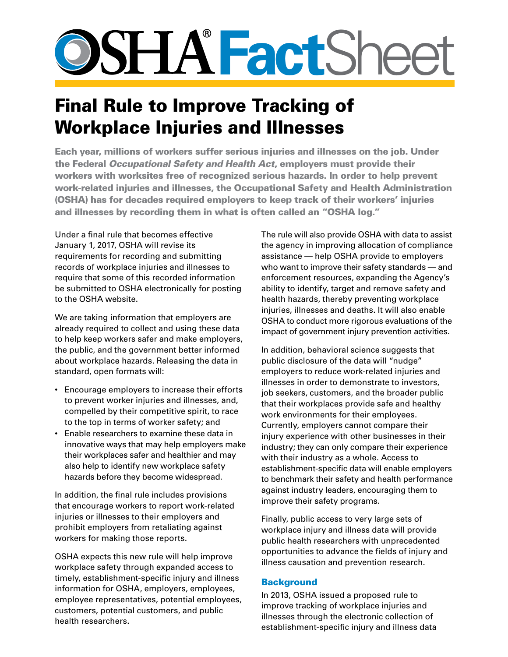# **SSHA FactShee**

# Final Rule to Improve Tracking of Workplace Injuries and Illnesses

Each year, millions of workers suffer serious injuries and illnesses on the job. Under the Federal *Occupational Safety and Health Act*, employers must provide their workers with worksites free of recognized serious hazards. In order to help prevent work-related injuries and illnesses, the Occupational Safety and Health Administration (OSHA) has for decades required employers to keep track of their workers' injuries and illnesses by recording them in what is often called an "OSHA log."

Under a final rule that becomes effective January 1, 2017, OSHA will revise its requirements for recording and submitting records of workplace injuries and illnesses to require that some of this recorded information be submitted to OSHA electronically for posting to the OSHA website.

We are taking information that employers are already required to collect and using these data to help keep workers safer and make employers, the public, and the government better informed about workplace hazards. Releasing the data in standard, open formats will:

- Encourage employers to increase their efforts to prevent worker injuries and illnesses, and, compelled by their competitive spirit, to race to the top in terms of worker safety; and
- Enable researchers to examine these data in innovative ways that may help employers make their workplaces safer and healthier and may also help to identify new workplace safety hazards before they become widespread.

In addition, the final rule includes provisions that encourage workers to report work-related injuries or illnesses to their employers and prohibit employers from retaliating against workers for making those reports.

OSHA expects this new rule will help improve workplace safety through expanded access to timely, establishment-specific injury and illness information for OSHA, employers, employees, employee representatives, potential employees, customers, potential customers, and public health researchers.

The rule will also provide OSHA with data to assist the agency in improving allocation of compliance assistance — help OSHA provide to employers who want to improve their safety standards — and enforcement resources, expanding the Agency's ability to identify, target and remove safety and health hazards, thereby preventing workplace injuries, illnesses and deaths. It will also enable OSHA to conduct more rigorous evaluations of the impact of government injury prevention activities.

In addition, behavioral science suggests that public disclosure of the data will "nudge" employers to reduce work-related injuries and illnesses in order to demonstrate to investors, job seekers, customers, and the broader public that their workplaces provide safe and healthy work environments for their employees. Currently, employers cannot compare their injury experience with other businesses in their industry; they can only compare their experience with their industry as a whole. Access to establishment-specific data will enable employers to benchmark their safety and health performance against industry leaders, encouraging them to improve their safety programs.

Finally, public access to very large sets of workplace injury and illness data will provide public health researchers with unprecedented opportunities to advance the fields of injury and illness causation and prevention research.

# **Background**

In 2013, OSHA issued a proposed rule to improve tracking of workplace injuries and illnesses through the electronic collection of establishment-specific injury and illness data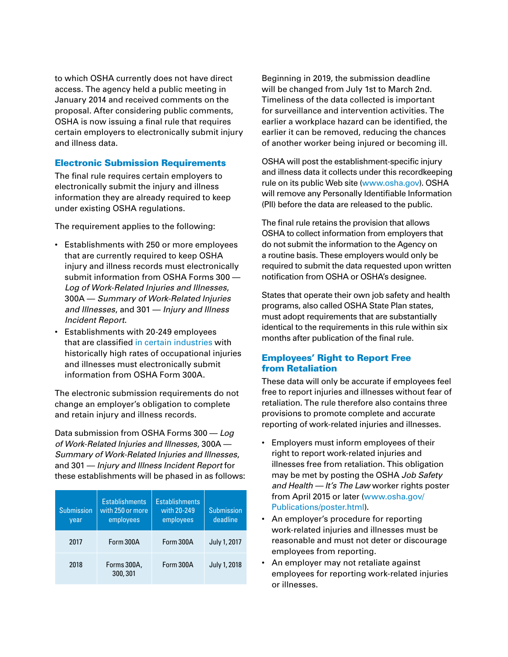to which OSHA currently does not have direct access. The agency held a public meeting in January 2014 and received comments on the proposal. After considering public comments, OSHA is now issuing a final rule that requires certain employers to electronically submit injury and illness data.

#### Electronic Submission Requirements

The final rule requires certain employers to electronically submit the injury and illness information they are already required to keep under existing OSHA regulations.

The requirement applies to the following:

- Establishments with 250 or more employees that are currently required to keep OSHA injury and illness records must electronically submit information from OSHA Forms 300 — *Log of Work-Related Injuries and Illnesses*, 300A — *Summary of Work-Related Injuries and Illnesses*, and 301 — *Injury and Illness Incident Report*.
- Establishments with 20-249 employees that are classifie[d in certain industries](http://www.osha.gov/recordkeeping/NAICScodesforelectronicsubmission.pdf) with historically high rates of occupational injuries and illnesses must electronically submit information from OSHA Form 300A.

The electronic submission requirements do not change an employer's obligation to complete and retain injury and illness records.

Data submission from OSHA Forms 300 — *Log of Work-Related Injuries and Illnesses*, 300A — *Summary of Work-Related Injuries and Illnesses*, and 301 — *Injury and Illness Incident Report* for these establishments will be phased in as follows:

| <b>Submission</b><br>year | <b>Establishments</b><br>with 250 or more<br>employees | <b>Establishments</b><br>with 20-249<br>employees | Submission<br>deadline |
|---------------------------|--------------------------------------------------------|---------------------------------------------------|------------------------|
| 2017                      | Form 300A                                              | Form 300A                                         | July 1, 2017           |
| 2018                      | Forms 300A,<br>300, 301                                | Form 300A                                         | July 1, 2018           |

Beginning in 2019, the submission deadline will be changed from July 1st to March 2nd. Timeliness of the data collected is important for surveillance and intervention activities. The earlier a workplace hazard can be identified, the earlier it can be removed, reducing the chances of another worker being injured or becoming ill.

OSHA will post the establishment-specific injury and illness data it collects under this recordkeeping rule on its public Web site [\(www.osha.gov](http://www.osha.gov)). OSHA will remove any Personally Identifiable Information (PII) before the data are released to the public.

The final rule retains the provision that allows OSHA to collect information from employers that do not submit the information to the Agency on a routine basis. These employers would only be required to submit the data requested upon written notification from OSHA or OSHA's designee.

States that operate their own job safety and health programs, also called OSHA State Plan states, must adopt requirements that are substantially identical to the requirements in this rule within six months after publication of the final rule.

# Employees' Right to Report Free from Retaliation

These data will only be accurate if employees feel free to report injuries and illnesses without fear of retaliation. The rule therefore also contains three provisions to promote complete and accurate reporting of work-related injuries and illnesses.

- Employers must inform employees of their right to report work-related injuries and illnesses free from retaliation. This obligation may be met by posting the OSHA *Job Safety and Health — It's The Law* worker rights poster from April 2015 or later [\(www.osha.gov/](http://www.osha.gov/Publications/poster.html) [Publications/poster.html](http://www.osha.gov/Publications/poster.html)).
- An employer's procedure for reporting work-related injuries and illnesses must be reasonable and must not deter or discourage employees from reporting.
- An employer may not retaliate against employees for reporting work-related injuries or illnesses.